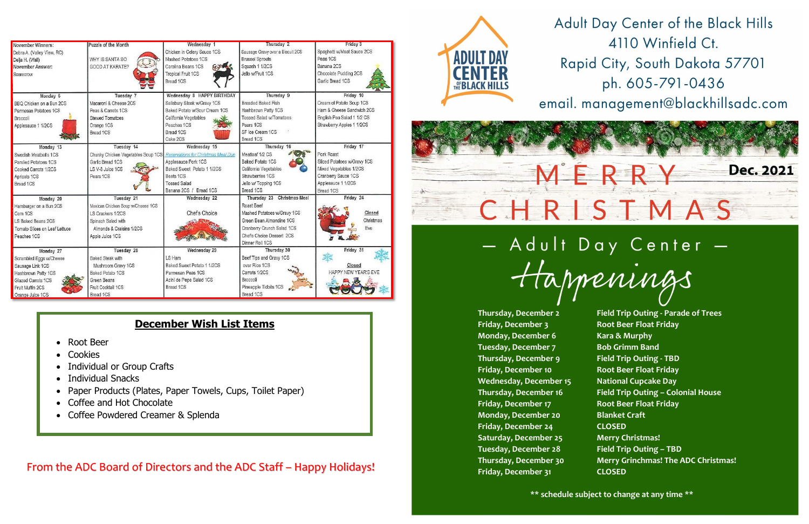## From the ADC Board of Directors and the ADC Staff – Happy Holidays!



Rapid City, South Dakota 57701 ph. 605-791-0436

email. management@blackhillsadc.com



## - Adult Day Center -Happenings

| November Winners:             | Puzzle of the Month                | Wednesday 1                         | Thursday 2                       | Friday 3                    |
|-------------------------------|------------------------------------|-------------------------------------|----------------------------------|-----------------------------|
| Debra A. (Valley View, RC)    |                                    | Chicken in Celery Sauce 1CS         | Sausage Gravy over a Biscuit 2CS | Spaghetti w/Meat Sauce 2CS  |
| Delia H. (Wall)               | WHY IS SANTA SO                    | Mashed Potatoes 1CS                 | <b>Brussel Sprouts</b>           | Peas 1CS                    |
| November Answer:              | GOOD AT KARATE?                    | Carolina Beans 1CS                  | Squash 1 1/2CS                   | Banana 2CS                  |
| Scarecrow                     |                                    | <b>Tropical Fruit 1CS</b>           | Jello w/Fruit 1CS                | Chocolate Pudding 2CS       |
|                               |                                    | Bread 1CS                           |                                  | Garlic Bread 1CS            |
| Monday 6                      | Tuesday 7                          | Wednesday 8 HAPPY BIRTHDAY          | Thursday 9                       | Friday 10                   |
| BBQ Chicken on a Bun 2CS      | Macaroni & Cheese 2CS              | Salisbury Steak w/Gravy 1CS         | <b>Breaded Baked Fish</b>        | Cream of Potato Soup 1CS    |
| Parmesan Potatoes 1CS         | Peas & Carrots 1CS                 | Baked Potato w/Sour Cream 1CS       | Hashbrown Patty 1CS              | Ham & Cheese Sandwich 2CS   |
| Broccoli                      | <b>Stewed Tomatoes</b>             | California Vegetables               | <b>Tossed Salad w/Tomatoes</b>   | English Pea Salad 1 1/2 CS  |
| Applesauce 1 1/2CS            | Orange 1CS                         | Peaches 1CS                         | Pears 1CS                        | Strawberry Apples 1 1/2CS   |
|                               | Bread 1CS                          | Bread 1CS                           | SF Ice Cream 1CS                 |                             |
|                               |                                    | Cake 2CS                            | Bread 1CS                        |                             |
| Monday 13                     | Tuesday 14                         | Wednesday 15                        | Thursday 16                      | Friday 17                   |
| Swedish Meatballs 1CS         | Chunky Chicken Vegetables Soup 1CS | Reservations for Christmas Meal Due | Meatloaf 1/2 CS                  | Pork Roast                  |
| Parslied Potatoes 1CS         | Garlic Bread 1CS                   | Applesauce Pork 1CS                 | Baked Potato 1CS                 | Sliced Potatoes w/Gravy 1CS |
| Cooked Carrots 1/2CS          | LS V-8 Juice 1CS                   | Baked Sweet Potato 1 1/2CS          | California Vegetables            | Mixed Vegetables 1/2CS      |
| Apricots 1CS                  | Pears 1CS                          | Beets 1CS                           | Strawberries 1CS                 | Cranberry Sauce 1CS         |
| Bread 1CS                     |                                    | <b>Tossed Salad</b>                 | Jello w/ Topping 1CS             | Applesauce 1 1/2CS          |
|                               |                                    | Banana 2CS / Bread 1CS              | Bread 1CS                        | Bread 1CS                   |
| Monday 20                     | Tuesday 21                         | Wednesday 22                        | Thursday 23 Christmas Meal       | Friday 24                   |
| Hamburger on a Bun 2CS        | Mexican Chicken Soup w/Cheese 1CS  |                                     | Roast Beef                       |                             |
| Com 1CS                       | LS Crackers 1/2CS                  | Chef's Choice                       | Mashed Potatoes w/Gravy 1CS      | Closed                      |
| LS Baked Beans 2CS            | Spinach Salad with                 |                                     | Green Bean Almondine 1CS         | Christmas                   |
| Tomato Slices on Leaf Lettuce | Almonds & Craisins 1/2CS           |                                     | Cranberry Crunch Salad 1CS       | Eve                         |
| Peaches 1CS                   | Apple Juice 1CS                    |                                     | Chefs Choice Dessert 2CS         |                             |
|                               |                                    |                                     | Dinner Roll 1CS                  |                             |
| Monday 27                     | Tuesday 28                         | Wednesday 29                        | Thursday 30                      | Friday 31                   |
| Scrambled Eggs w/Cheese       | Baked Steak with                   | LS Ham                              | Beef Tips and Gravy 1CS          |                             |
| Sausage Link 1CS              | Mushroom Gravy 1CS                 | Baked Sweet Potato 1 1/2CS          | over Rice 1CS                    | Closed                      |
| Hashbrown Patty 1CS           | Baked Potato 1CS                   | Parmesan Peas 1CS                   | Carrots 1/2CS                    | HAPPY NEW YEAR'S EVE        |
| Glazed Carrots 1CS            | Green Beans                        | Acini de Pepe Salad 1CS             | Broccoli                         |                             |
| Fruit Muffin 2CS              | Fruit Cocktail 1CS                 | Bread 1CS                           | Pineapple Tidbits 1CS            |                             |
| Orange Juice 1CS              | Bread 1CS                          |                                     | Bread 1CS                        |                             |

## **December Wish List Items**

- Root Beer
- Cookies
- Individual or Group Crafts
- Individual Snacks
- Paper Products (Plates, Paper Towels, Cups, Toilet Paper)
- Coffee and Hot Chocolate
- Coffee Powdered Creamer & Splenda

**Thursday, December 2 Field Trip Outing - Parade of Trees Thursday, December 16 Field Trip Outing – Colonial House Thursday, December 30 Merry Grinchmas! The ADC Christmas!**

**Friday, December 3 Root Beer Float Friday Monday, December 6 Kara & Murphy Tuesday, December 7 Bob Grimm Band Thursday, December 9 Field Trip Outing - TBD Friday, December 10 Root Beer Float Friday Wednesday, December 15 National Cupcake Day Friday, December 17 Root Beer Float Friday Monday, December 20 Blanket Craft Friday, December 24 CLOSED Saturday, December 25 Merry Christmas! Tuesday, December 28 Field Trip Outing – TBD Friday, December 31 CLOSED** 

Adult Day Center of the Black Hills 4110 Winfield Ct.



**\*\* schedule subject to change at any time \*\***